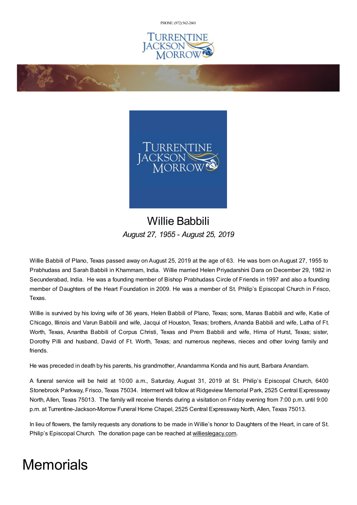PHONE: (972) [562-2601](tel:(972) 562-2601)



on former



## Willie Babbili *August 27, 1955 - August 25, 2019*

Willie Babbili of Plano, Texas passed away on August 25, 2019 at the age of 63. He was born on August 27, 1955 to Prabhudass and Sarah Babbili in Khammam, India. Willie married Helen Priyadarshini Dara on December 29, 1982 in Secunderabad, India. He was a founding member of Bishop Prabhudass Circle of Friends in 1997 and also a founding member of Daughters of the Heart Foundation in 2009. He was a member of St. Philip's Episcopal Church in Frisco, Texas.

Willie is survived by his loving wife of 36 years, Helen Babbili of Plano, Texas; sons, Manas Babbili and wife, Katie of Chicago, Illinois and Varun Babbili and wife, Jacqui of Houston, Texas; brothers, Ananda Babbili and wife, Latha of Ft. Worth, Texas, Anantha Babbili of Corpus Christi, Texas and Prem Babbili and wife, Hima of Hurst, Texas; sister, Dorothy Pilli and husband, David of Ft. Worth, Texas; and numerous nephews, nieces and other loving family and friends.

He was preceded in death by his parents, his grandmother, Anandamma Konda and his aunt, Barbara Anandam.

A funeral service will be held at 10:00 a.m., Saturday, August 31, 2019 at St. Philip's Episcopal Church, 6400 Stonebrook Parkway, Frisco, Texas 75034. Interment will follow at Ridgeview Memorial Park, 2525 Central Expressway North, Allen, Texas 75013. The family will receive friends during a visitation on Friday evening from 7:00 p.m. until 9:00 p.m. at Turrentine-Jackson-Morrow Funeral Home Chapel, 2525 Central Expressway North, Allen, Texas 75013.

In lieu of flowers, the family requests any donations to be made in Willie's honor to Daughters of the Heart, in care of St. Philip's Episcopal Church. The donation page can be reached at [willieslegacy.com](https://willieslegacy.com/).

# **Memorials**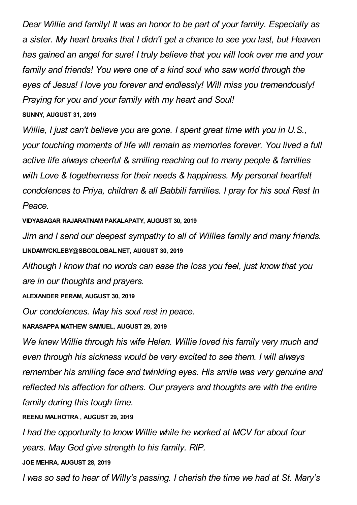*Dear Willie and family! It was an honor to be part of your family. Especially as a sister. My heart breaks that I didn't get a chance to see you last, but Heaven has gained an angel for sure! I truly believe that you will look over me and your family and friends! You were one of a kind soul who saw world through the eyes of Jesus! I love you forever and endlessly! Will miss you tremendously! Praying for you and your family with my heart and Soul!* **SUNNY, AUGUST 31, 2019**

*Willie, I just can't believe you are gone. I spent great time with you in U.S., your touching moments of life will remain as memories forever. You lived a full active life always cheerful & smiling reaching out to many people & families with Love & togetherness for their needs & happiness. My personal heartfelt condolences to Priya, children & all Babbili families. I pray for his soul Rest In Peace.*

**VIDYASAGAR RAJARATNAM PAKALAPATY, AUGUST 30, 2019**

*Jim and I send our deepest sympathy to all of Willies family and many friends.* **LINDAMYCKLEBY@SBCGLOBAL.NET, AUGUST 30, 2019**

*Although I know that no words can ease the loss you feel, just know that you are in our thoughts and prayers.*

**ALEXANDER PERAM, AUGUST 30, 2019**

*Our condolences. May his soul rest in peace.*

**NARASAPPA MATHEW SAMUEL, AUGUST 29, 2019**

*We knew Willie through his wife Helen. Willie loved his family very much and even through his sickness would be very excited to see them. I will always remember his smiling face and twinkling eyes. His smile was very genuine and reflected his affection for others. Our prayers and thoughts are with the entire family during this tough time.*

**REENU MALHOTRA , AUGUST 29, 2019**

*I had the opportunity to know Willie while he worked at MCV for about four years. May God give strength to his family. RIP.*

**JOE MEHRA, AUGUST 28, 2019**

*I was so sad to hear of Willy's passing. I cherish the time we had at St. Mary's*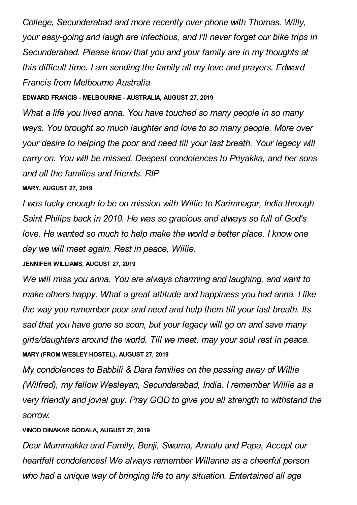*College, Secunderabad and more recently over phone with Thomas. Willy, your easy-going and laugh are infectious, and I'll never forget our bike trips in Secunderabad. Please know that you and your family are in my thoughts at this difficult time. I am sending the family all my love and prayers. Edward Francis from Melbourne Australia*

#### **EDWARD FRANCIS - MELBOURNE - AUSTRALIA, AUGUST 27, 2019**

*What a life you lived anna. You have touched so many people in so many ways. You brought so much laughter and love to so many people. More over your desire to helping the poor and need till your last breath. Your legacy will carry on. You will be missed. Deepest condolences to Priyakka, and her sons and all the families and friends. RIP*

#### **MARY, AUGUST 27, 2019**

*I was lucky enough to be on mission with Willie to Karimnagar, India through Saint Philips back in 2010. He was so gracious and always so full of God's love. He wanted so much to help make the world a better place. I know one day we will meet again. Rest in peace, Willie.*

#### **JENNIFER WILLIAMS, AUGUST 27, 2019**

*We will miss you anna. You are always charming and laughing, and want to make others happy. What a great attitude and happiness you had anna. I like the way you remember poor and need and help them till your last breath. Its sad that you have gone so soon, but your legacy will go on and save many girls/daughters around the world. Till we meet, may your soul rest in peace.* **MARY (FROM WESLEY HOSTEL), AUGUST 27, 2019**

*My condolences to Babbili & Dara families on the passing away of Willie (Wilfred), my fellow Wesleyan, Secunderabad, India. I remember Willie as a very friendly and jovial guy. Pray GOD to give you all strength to withstand the sorrow.*

#### **VINOD DINAKAR GODALA, AUGUST 27, 2019**

*Dear Mummakka and Family, Benji, Swarna, Annalu and Papa, Accept our heartfelt condolences! We always remember Willanna as a cheerful person who had a unique way of bringing life to any situation. Entertained all age*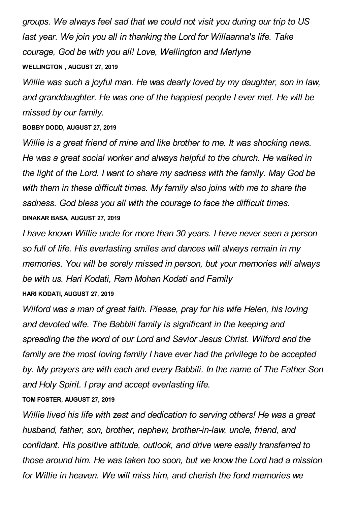*groups. We always feel sad that we could not visit you during our trip to US last year. We join you all in thanking the Lord for Willaanna's life. Take courage, God be with you all! Love, Wellington and Merlyne* **WELLINGTON , AUGUST 27, 2019**

*Willie was such a joyful man. He was dearly loved by my daughter, son in law, and granddaughter. He was one of the happiest people I ever met. He will be missed by our family.*

**BOBBY DODD, AUGUST 27, 2019**

*Willie is a great friend of mine and like brother to me. It was shocking news. He was a great social worker and always helpful to the church. He walked in the light of the Lord. I want to share my sadness with the family. May God be with them in these difficult times. My family also joins with me to share the sadness. God bless you all with the courage to face the difficult times.* **DINAKAR BASA, AUGUST 27, 2019**

*I have known Willie uncle for more than 30 years. I have never seen a person so full of life. His everlasting smiles and dances will always remain in my memories. You will be sorely missed in person, but your memories will always be with us. Hari Kodati, Ram Mohan Kodati and Family* **HARI KODATI, AUGUST 27, 2019**

*Wilford was a man of great faith. Please, pray for his wife Helen, his loving and devoted wife. The Babbili family is significant in the keeping and spreading the the word of our Lord and Savior Jesus Christ. Wilford and the family are the most loving family I have ever had the privilege to be accepted by. My prayers are with each and every Babbili. In the name of The Father Son and Holy Spirit. I pray and accept everlasting life.*

### **TOM FOSTER, AUGUST 27, 2019**

*Willie lived his life with zest and dedication to serving others! He was a great husband, father, son, brother, nephew, brother-in-law, uncle, friend, and confidant. His positive attitude, outlook, and drive were easily transferred to those around him. He was taken too soon, but we know the Lord had a mission for Willie in heaven. We will miss him, and cherish the fond memories we*